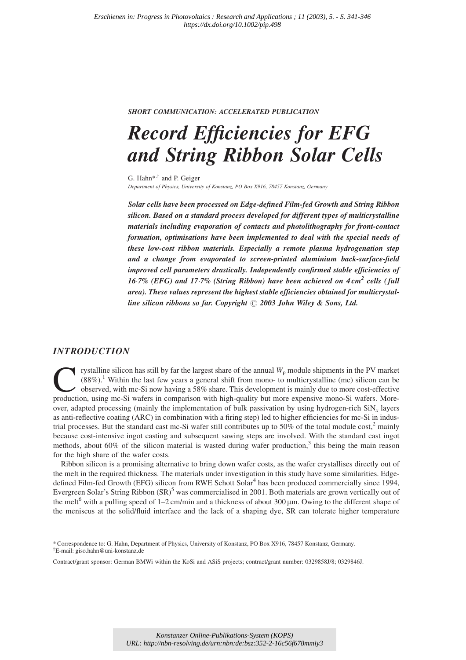### SHORT COMMUNICATION: ACCELERATED PUBLICATION

# Record Efficiencies for EFG and String Ribbon Solar Cells

G. Hahn<sup>\*,†</sup> and P. Geiger Department of Physics, University of Konstanz, PO Box X916, 78457 Konstanz, Germany

Solar cells have been processed on Edge-defined Film-fed Growth and String Ribbon silicon. Based on a standard process developed for different types of multicrystalline materials including evaporation of contacts and photolithography for front-contact formation, optimisations have been implemented to deal with the special needs of these low-cost ribbon materials. Especially a remote plasma hydrogenation step and a change from evaporated to screen-printed aluminium back-surface-field improved cell parameters drastically. Independently confirmed stable efficiencies of 16-7% (EFG) and 17-7% (String Ribbon) have been achieved on  $4\,\text{cm}^2$  cells (full area). These values represent the highest stable efficiencies obtained for multicrystalline silicon ribbons so far. Copyright  $\odot$  2003 John Wiley & Sons, Ltd.

## INTRODUCTION

rystalline silicon has still by far the largest share of the annual  $W<sub>p</sub>$  module shipments in the PV market (88%).1 Within the last few years a general shift from mono- to multicrystalline (mc) silicon can be observed, with mc-Si now having a 58% share. This development is mainly due to more cost-effective production, using mc-Si wafers in comparison with high-quality but more expensive mono-Si wafers. Moreover, adapted processing (mainly the implementation of bulk passivation by using hydrogen-rich  $\text{SiN}_x$  layers as anti-reflective coating (ARC) in combination with a firing step) led to higher efficiencies for mc-Si in industrial processes. But the standard cast mc-Si wafer still contributes up to 50% of the total module cost, $2$  mainly because cost-intensive ingot casting and subsequent sawing steps are involved. With the standard cast ingot methods, about 60% of the silicon material is wasted during wafer production,<sup>3</sup> this being the main reason for the high share of the wafer costs.

Ribbon silicon is a promising alternative to bring down wafer costs, as the wafer crystallises directly out of the melt in the required thickness. The materials under investigation in this study have some similarities. Edgedefined Film-fed Growth (EFG) silicon from RWE Schott Solar<sup>4</sup> has been produced commercially since 1994, Evergreen Solar's String Ribbon  $(SR)^5$  was commercialised in 2001. Both materials are grown vertically out of the melt<sup>6</sup> with a pulling speed of 1–2 cm/min and a thickness of about 300  $\mu$ m. Owing to the different shape of the meniscus at the solid/fluid interface and the lack of a shaping dye, SR can tolerate higher temperature

Contract/grant sponsor: German BMWi within the KoSi and ASiS projects; contract/grant number: 0329858J/8; 0329846J.

<sup>\*</sup> Correspondence to: G. Hahn, Department of Physics, University of Konstanz, PO Box X916, 78457 Konstanz, Germany. <sup>y</sup>E-mail: giso.hahn@uni-konstanz.de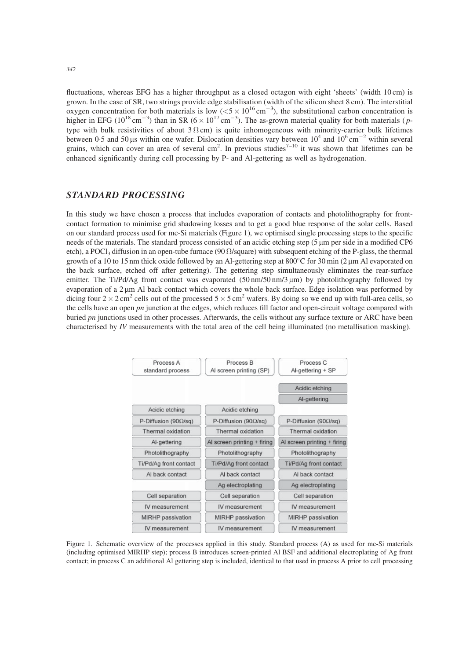fluctuations, whereas EFG has a higher throughput as a closed octagon with eight 'sheets' (width 10 cm) is grown. In the case of SR, two strings provide edge stabilisation (width of the silicon sheet 8 cm). The interstitial oxygen concentration for both materials is low  $(<5 \times 10^{16} \text{ cm}^{-3})$ , the substitutional carbon concentration is higher in EFG ( $10^{18}$  cm<sup>-3</sup>) than in SR ( $6 \times 10^{17}$  cm<sup>-3</sup>). The as-grown material quality for both materials (*p*type with bulk resistivities of about  $3 \Omega$ cm) is quite inhomogeneous with minority-carrier bulk lifetimes between 0.5 and 50 µs within one wafer. Dislocation densities vary between  $10^4$  and  $10^6$  cm<sup>-2</sup> within several grains, which can cover an area of several cm<sup>2</sup>. In previous studies<sup>7-10</sup> it was shown that lifetimes can be enhanced significantly during cell processing by P- and Al-gettering as well as hydrogenation.

## STANDARD PROCESSING

In this study we have chosen a process that includes evaporation of contacts and photolithography for frontcontact formation to minimise grid shadowing losses and to get a good blue response of the solar cells. Based on our standard process used for mc-Si materials (Figure 1), we optimised single processing steps to the specific needs of the materials. The standard process consisted of an acidic etching step (5  $\mu$ m per side in a modified CP6 etch), a POCl<sub>3</sub> diffusion in an open-tube furnace (90  $\Omega$ /square) with subsequent etching of the P-glass, the thermal growth of a 10 to 15 nm thick oxide followed by an Al-gettering step at  $800^{\circ}$ C for 30 min (2  $\mu$ m Al evaporated on the back surface, etched off after gettering). The gettering step simultaneously eliminates the rear-surface emitter. The Ti/Pd/Ag front contact was evaporated (50 nm/50 nm/3 µm) by photolithography followed by evaporation of a  $2 \mu m$  Al back contact which covers the whole back surface. Edge isolation was performed by dicing four  $2 \times 2 \text{ cm}^2$  cells out of the processed  $5 \times 5 \text{ cm}^2$  wafers. By doing so we end up with full-area cells, so the cells have an open  $pn$  junction at the edges, which reduces fill factor and open-circuit voltage compared with buried pn junctions used in other processes. Afterwards, the cells without any surface texture or ARC have been characterised by IV measurements with the total area of the cell being illuminated (no metallisation masking).



Figure 1. Schematic overview of the processes applied in this study. Standard process (A) as used for mc-Si materials (including optimised MIRHP step); process B introduces screen-printed Al BSF and additional electroplating of Ag front contact; in process C an additional Al gettering step is included, identical to that used in process A prior to cell processing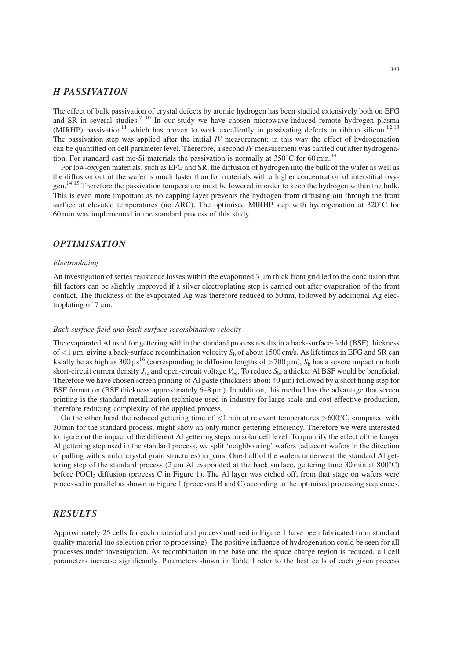## H PASSIVATION

The effect of bulk passivation of crystal defects by atomic hydrogen has been studied extensively both on EFG and SR in several studies.<sup>7–10</sup> In our study we have chosen microwave-induced remote hydrogen plasma (MIRHP) passivation<sup>11</sup> which has proven to work excellently in passivating defects in ribbon silicon.<sup>12,13</sup> The passivation step was applied after the initial  $IV$  measurement; in this way the effect of hydrogenation can be quantified on cell parameter level. Therefore, a second IV measurement was carried out after hydrogenation. For standard cast mc-Si materials the passivation is normally at  $350^{\circ}$ C for 60 min.<sup>14</sup>

For low-oxygen materials, such as EFG and SR, the diffusion of hydrogen into the bulk of the wafer as well as the diffusion out of the wafer is much faster than for materials with a higher concentration of interstitial oxygen.14,15 Therefore the passivation temperature must be lowered in order to keep the hydrogen within the bulk. This is even more important as no capping layer prevents the hydrogen from diffusing out through the front surface at elevated temperatures (no ARC). The optimised MIRHP step with hydrogenation at  $320^{\circ}$ C for 60 min was implemented in the standard process of this study.

## **OPTIMISATION**

#### Electroplating

An investigation of series resistance losses within the evaporated 3  $\mu$ m thick front grid led to the conclusion that fill factors can be slightly improved if a silver electroplating step is carried out after evaporation of the front contact. The thickness of the evaporated Ag was therefore reduced to 50 nm, followed by additional Ag electroplating of  $7 \mu m$ .

#### Back-surface-field and back-surface recombination velocity

The evaporated Al used for gettering within the standard process results in a back-surface-field (BSF) thickness of  $<$ 1 µm, giving a back-surface recombination velocity  $S<sub>b</sub>$  of about 1500 cm/s. As lifetimes in EFG and SR can locally be as high as 300  $\mu s^{16}$  (corresponding to diffusion lengths of  $>700 \,\mu m$ ),  $S_b$  has a severe impact on both short-circuit current density  $J_{\rm sc}$  and open-circuit voltage  $V_{\rm oc}$ . To reduce  $S_{\rm b}$ , a thicker Al BSF would be beneficial. Therefore we have chosen screen printing of Al paste (thickness about  $40 \mu m$ ) followed by a short firing step for BSF formation (BSF thickness approximately 6–8  $\mu$ m). In addition, this method has the advantage that screen printing is the standard metallization technique used in industry for large-scale and cost-effective production, therefore reducing complexity of the applied process.

On the other hand the reduced gettering time of  $<$ 1 min at relevant temperatures >600 $^{\circ}$ C, compared with 30 min for the standard process, might show an only minor gettering efficiency. Therefore we were interested to figure out the impact of the different Al gettering steps on solar cell level. To quantify the effect of the longer Al gettering step used in the standard process, we split 'neighbouring' wafers (adjacent wafers in the direction of pulling with similar crystal grain structures) in pairs. One-half of the wafers underwent the standard Al gettering step of the standard process ( $2 \mu m$  Al evaporated at the back surface, gettering time 30 min at 800 $^{\circ}$ C) before  $POCI<sub>3</sub>$  diffusion (process C in Figure 1). The Al layer was etched off; from that stage on wafers were processed in parallel as shown in Figure 1 (processes B and C) according to the optimised processing sequences.

## **RESULTS**

Approximately 25 cells for each material and process outlined in Figure 1 have been fabricated from standard quality material (no selection prior to processing). The positive influence of hydrogenation could be seen for all processes under investigation. As recombination in the base and the space charge region is reduced, all cell parameters increase significantly. Parameters shown in Table I refer to the best cells of each given process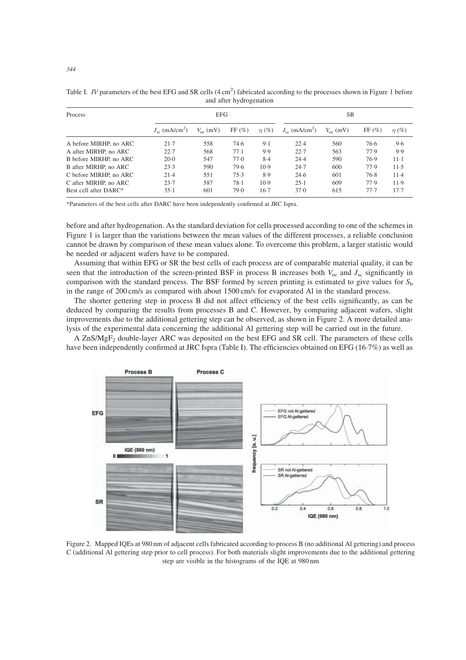| Process                | <b>EFG</b>                         |                   |       |            | <b>SR</b>                      |                   |       |            |
|------------------------|------------------------------------|-------------------|-------|------------|--------------------------------|-------------------|-------|------------|
|                        | $J_{\rm sc}$ (mA/cm <sup>2</sup> ) | $V_{\infty}$ (mV) | FF(%) | $\eta(\%)$ | $J_{sc}$ (mA/cm <sup>2</sup> ) | $V_{\rm oc}$ (mV) | FF(%) | $\eta(\%)$ |
| A before MIRHP, no ARC | $21-7$                             | 558               | 74.6  | 9.1        | 22.4                           | 560               | 76.6  | 9.6        |
| A after MIRHP, no ARC  | 22.7                               | 568               | 77.1  | 9.9        | 22.7                           | 563               | 77.9  | 9.9        |
| B before MIRHP, no ARC | $20-0$                             | 547               | 77.0  | 8.4        | 24.4                           | 590               | 76.9  | $11 - 1$   |
| B after MIRHP, no ARC  | 23.3                               | 590               | 79.6  | 10.9       | 24.7                           | 600               | 77.9  | $11-5$     |
| C before MIRHP, no ARC | $21-4$                             | 551               | 75.3  | 8.9        | 24.6                           | 601               | 76.8  | $11-4$     |
| C after MIRHP, no ARC  | 23.7                               | 587               | 78.1  | 10.9       | $25-1$                         | 609               | 77.9  | 11.9       |
| Best cell after DARC*  | $35-1$                             | 601               | 79.0  | $16-7$     | 37.0                           | 615               | 77.7  | 17.7       |

Table I. *IV* parameters of the best EFG and SR cells  $(4 \text{ cm}^2)$  fabricated according to the processes shown in Figure 1 before and after hydrogenation

\*Parameters of the best cells after DARC have been independently confirmed at JRC Ispra.

before and after hydrogenation. As the standard deviation for cells processed according to one of the schemes in Figure 1 is larger than the variations between the mean values of the different processes, a reliable conclusion cannot be drawn by comparison of these mean values alone. To overcome this problem, a larger statistic would be needed or adjacent wafers have to be compared.

Assuming that within EFG or SR the best cells of each process are of comparable material quality, it can be seen that the introduction of the screen-printed BSF in process B increases both  $V_{\rm oc}$  and  $J_{\rm sc}$  significantly in comparison with the standard process. The BSF formed by screen printing is estimated to give values for  $S<sub>b</sub>$ in the range of 200 cm/s as compared with about 1500 cm/s for evaporated Al in the standard process.

The shorter gettering step in process B did not affect efficiency of the best cells significantly, as can be deduced by comparing the results from processes B and C. However, by comparing adjacent wafers, slight improvements due to the additional gettering step can be observed, as shown in Figure 2. A more detailed analysis of the experimental data concerning the additional Al gettering step will be carried out in the future.

A ZnS/MgF<sub>2</sub> double-layer ARC was deposited on the best EFG and SR cell. The parameters of these cells have been independently confirmed at JRC Ispra (Table I). The efficiencies obtained on EFG (16-7%) as well as



Figure 2. Mapped IQEs at 980 nm of adjacent cells fabricated according to process B (no additional Al gettering) and process C (additional Al gettering step prior to cell process). For both materials slight improvements due to the additional gettering step are visible in the histograms of the IQE at 980 nm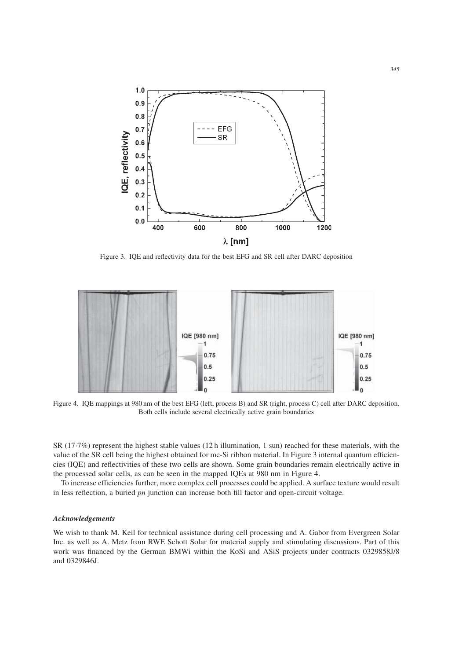

Figure 3. IQE and reflectivity data for the best EFG and SR cell after DARC deposition



Figure 4. IQE mappings at 980 nm of the best EFG (left, process B) and SR (right, process C) cell after DARC deposition. Both cells include several electrically active grain boundaries

SR (17-7%) represent the highest stable values (12 h illumination, 1 sun) reached for these materials, with the value of the SR cell being the highest obtained for mc-Si ribbon material. In Figure 3 internal quantum efficiencies (IQE) and reflectivities of these two cells are shown. Some grain boundaries remain electrically active in the processed solar cells, as can be seen in the mapped IQEs at 980 nm in Figure 4.

To increase efficiencies further, more complex cell processes could be applied. A surface texture would result in less reflection, a buried  $pn$  junction can increase both fill factor and open-circuit voltage.

#### Acknowledgements

We wish to thank M. Keil for technical assistance during cell processing and A. Gabor from Evergreen Solar Inc. as well as A. Metz from RWE Schott Solar for material supply and stimulating discussions. Part of this work was financed by the German BMWi within the KoSi and ASiS projects under contracts 0329858J/8 and 0329846J.